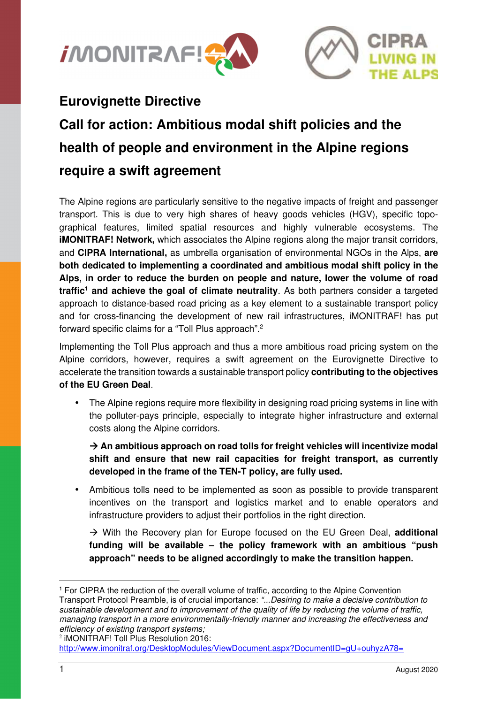



## **Eurovignette Directive**

# **Call for action: Ambitious modal shift policies and the health of people and environment in the Alpine regions require a swift agreement**

The Alpine regions are particularly sensitive to the negative impacts of freight and passenger transport. This is due to very high shares of heavy goods vehicles (HGV), specific topographical features, limited spatial resources and highly vulnerable ecosystems. The **iMONITRAF! Network,** which associates the Alpine regions along the major transit corridors, and **CIPRA International,** as umbrella organisation of environmental NGOs in the Alps, **are both dedicated to implementing a coordinated and ambitious modal shift policy in the Alps, in order to reduce the burden on people and nature, lower the volume of road traffic<sup>1</sup> and achieve the goal of climate neutrality**. As both partners consider a targeted approach to distance-based road pricing as a key element to a sustainable transport policy and for cross-financing the development of new rail infrastructures, iMONITRAF! has put forward specific claims for a "Toll Plus approach".<sup>2</sup>

Implementing the Toll Plus approach and thus a more ambitious road pricing system on the Alpine corridors, however, requires a swift agreement on the Eurovignette Directive to accelerate the transition towards a sustainable transport policy **contributing to the objectives of the EU Green Deal**.

• The Alpine regions require more flexibility in designing road pricing systems in line with the polluter-pays principle, especially to integrate higher infrastructure and external costs along the Alpine corridors.

 $\rightarrow$  **An ambitious approach on road tolls for freight vehicles will incentivize modal shift and ensure that new rail capacities for freight transport, as currently developed in the frame of the TEN-T policy, are fully used.** 

• Ambitious tolls need to be implemented as soon as possible to provide transparent incentives on the transport and logistics market and to enable operators and infrastructure providers to adjust their portfolios in the right direction.

 With the Recovery plan for Europe focused on the EU Green Deal, **additional funding will be available – the policy framework with an ambitious "push approach" needs to be aligned accordingly to make the transition happen.** 

<sup>1</sup> For CIPRA the reduction of the overall volume of traffic, according to the Alpine Convention Transport Protocol Preamble, is of crucial importance: "...Desiring to make a decisive contribution to sustainable development and to improvement of the quality of life by reducing the volume of traffic, managing transport in a more environmentally-friendly manner and increasing the effectiveness and efficiency of existing transport systems;

<sup>2</sup> iMONITRAF! Toll Plus Resolution 2016:

http://www.imonitraf.org/DesktopModules/ViewDocument.aspx?DocumentID=gU+ouhyzA78=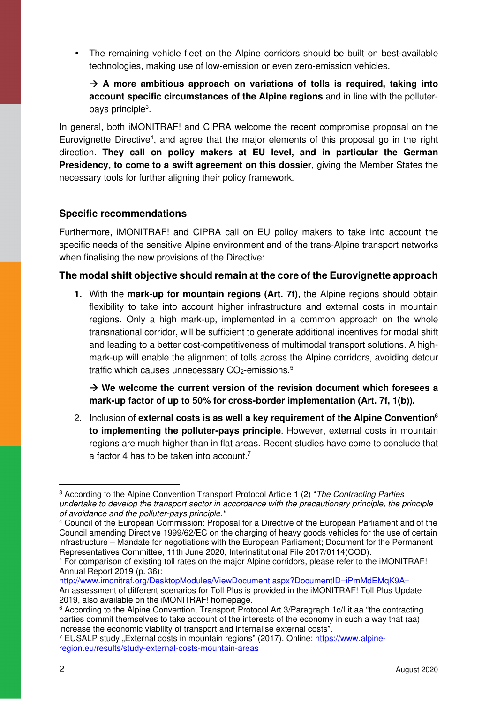• The remaining vehicle fleet on the Alpine corridors should be built on best-available technologies, making use of low-emission or even zero-emission vehicles.

 **A more ambitious approach on variations of tolls is required, taking into account specific circumstances of the Alpine regions** and in line with the polluterpays principle<sup>3</sup>.

In general, both iMONITRAF! and CIPRA welcome the recent compromise proposal on the Eurovignette Directive<sup>4</sup>, and agree that the major elements of this proposal go in the right direction. **They call on policy makers at EU level, and in particular the German Presidency, to come to a swift agreement on this dossier**, giving the Member States the necessary tools for further aligning their policy framework.

#### **Specific recommendations**

Furthermore, iMONITRAF! and CIPRA call on EU policy makers to take into account the specific needs of the sensitive Alpine environment and of the trans-Alpine transport networks when finalising the new provisions of the Directive:

#### **The modal shift objective should remain at the core of the Eurovignette approach**

**1.** With the **mark-up for mountain regions (Art. 7f)**, the Alpine regions should obtain flexibility to take into account higher infrastructure and external costs in mountain regions. Only a high mark-up, implemented in a common approach on the whole transnational corridor, will be sufficient to generate additional incentives for modal shift and leading to a better cost-competitiveness of multimodal transport solutions. A highmark-up will enable the alignment of tolls across the Alpine corridors, avoiding detour traffic which causes unnecessary  $CO<sub>2</sub>$ -emissions.<sup>5</sup>

 **We welcome the current version of the revision document which foresees a mark-up factor of up to 50% for cross-border implementation (Art. 7f, 1(b)).** 

2. Inclusion of **external costs is as well a key requirement of the Alpine Convention**<sup>6</sup> **to implementing the polluter-pays principle**. However, external costs in mountain regions are much higher than in flat areas. Recent studies have come to conclude that a factor 4 has to be taken into account.<sup>7</sup>

<sup>7</sup> EUSALP study "External costs in mountain regions" (2017). Online: <u>https://www.alpine-</u> region.eu/results/study-external-costs-mountain-areas

<sup>&</sup>lt;sup>3</sup> According to the Alpine Convention Transport Protocol Article 1 (2) "*The Contracting Parties* undertake to develop the transport sector in accordance with the precautionary principle, the principle of avoidance and the polluter-pays principle."

<sup>4</sup> Council of the European Commission: Proposal for a Directive of the European Parliament and of the Council amending Directive 1999/62/EC on the charging of heavy goods vehicles for the use of certain infrastructure – Mandate for negotiations with the European Parliament; Document for the Permanent Representatives Committee, 11th June 2020, Interinstitutional File 2017/0114(COD).

<sup>&</sup>lt;sup>5</sup> For comparison of existing toll rates on the major Alpine corridors, please refer to the iMONITRAF! Annual Report 2019 (p. 36):

http://www.imonitraf.org/DesktopModules/ViewDocument.aspx?DocumentID=iPmMdEMqK9A= An assessment of different scenarios for Toll Plus is provided in the iMONITRAF! Toll Plus Update 2019, also available on the iMONITRAF! homepage.

<sup>6</sup> According to the Alpine Convention, Transport Protocol Art.3/Paragraph 1c/Lit.aa "the contracting parties commit themselves to take account of the interests of the economy in such a way that (aa) increase the economic viability of transport and internalise external costs".